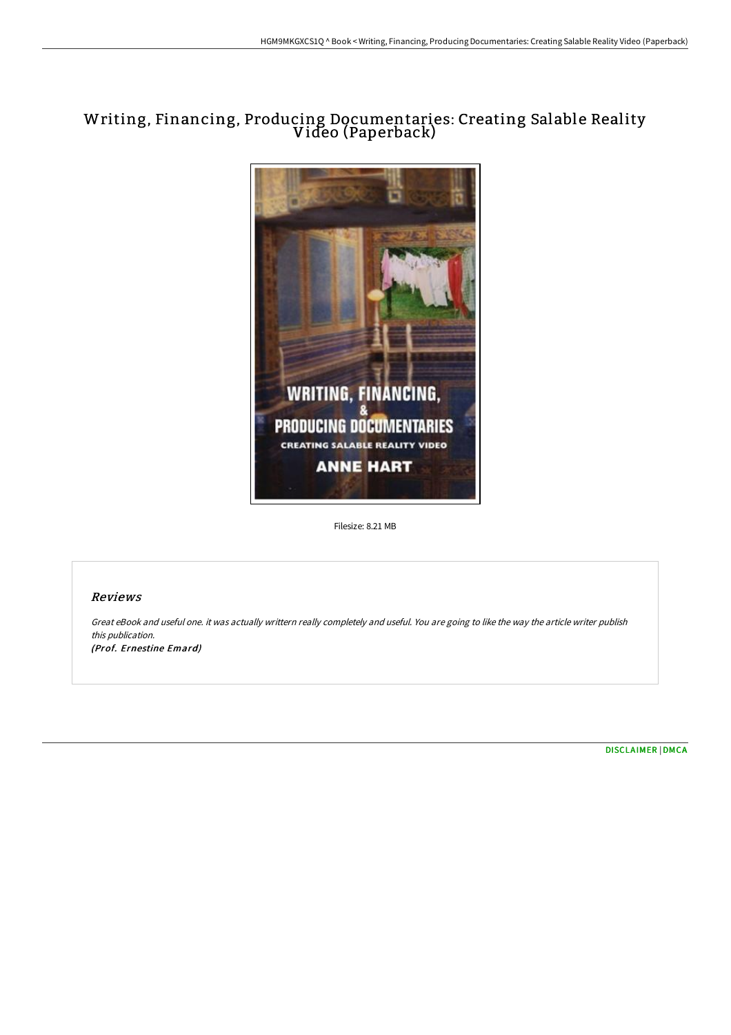# Writing, Financing, Producing Documentaries: Creating Salable Reality Video (Paperback)



Filesize: 8.21 MB

## Reviews

Great eBook and useful one. it was actually writtern really completely and useful. You are going to like the way the article writer publish this publication. (Prof. Ernestine Emard)

[DISCLAIMER](http://digilib.live/disclaimer.html) | [DMCA](http://digilib.live/dmca.html)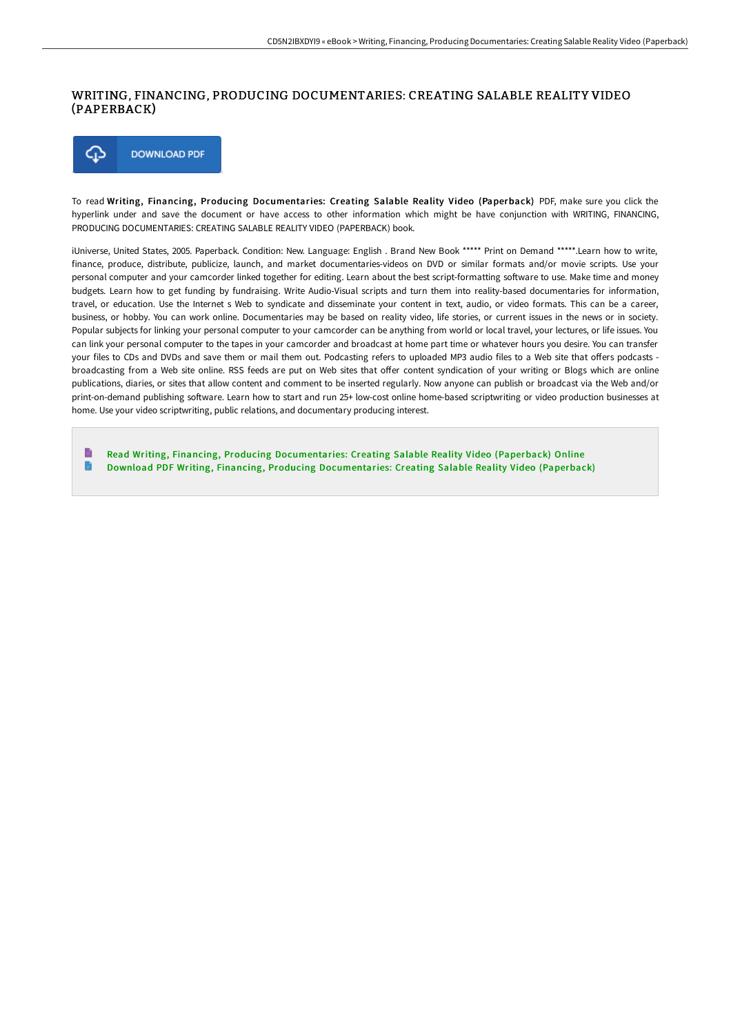#### WRITING, FINANCING, PRODUCING DOCUMENTARIES: CREATING SALABLE REALITY VIDEO (PAPERBACK)



To read Writing, Financing, Producing Documentaries: Creating Salable Reality Video (Paperback) PDF, make sure you click the hyperlink under and save the document or have access to other information which might be have conjunction with WRITING, FINANCING, PRODUCING DOCUMENTARIES: CREATING SALABLE REALITY VIDEO (PAPERBACK) book.

iUniverse, United States, 2005. Paperback. Condition: New. Language: English . Brand New Book \*\*\*\*\* Print on Demand \*\*\*\*\*.Learn how to write, finance, produce, distribute, publicize, launch, and market documentaries-videos on DVD or similar formats and/or movie scripts. Use your personal computer and your camcorder linked together for editing. Learn about the best script-formatting software to use. Make time and money budgets. Learn how to get funding by fundraising. Write Audio-Visual scripts and turn them into reality-based documentaries for information, travel, or education. Use the Internet s Web to syndicate and disseminate your content in text, audio, or video formats. This can be a career, business, or hobby. You can work online. Documentaries may be based on reality video, life stories, or current issues in the news or in society. Popular subjects for linking your personal computer to your camcorder can be anything from world or local travel, your lectures, or life issues. You can link your personal computer to the tapes in your camcorder and broadcast at home part time or whatever hours you desire. You can transfer your files to CDs and DVDs and save them or mail them out. Podcasting refers to uploaded MP3 audio files to a Web site that offers podcasts broadcasting from a Web site online. RSS feeds are put on Web sites that offer content syndication of your writing or Blogs which are online publications, diaries, or sites that allow content and comment to be inserted regularly. Now anyone can publish or broadcast via the Web and/or print-on-demand publishing software. Learn how to start and run 25+ low-cost online home-based scriptwriting or video production businesses at home. Use your video scriptwriting, public relations, and documentary producing interest.

E Read Writing, Financing, Producing [Documentaries:](http://digilib.live/writing-financing-producing-documentaries-creati.html) Creating Salable Reality Video (Paperback) Online  $\blacksquare$ Download PDF Writing, Financing, Producing [Documentaries:](http://digilib.live/writing-financing-producing-documentaries-creati.html) Creating Salable Reality Video (Paperback)